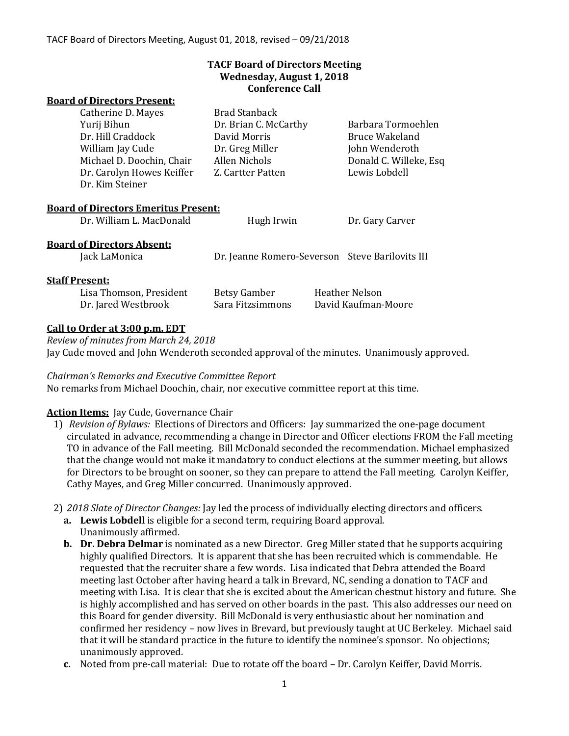### **TACF Board of Directors Meeting Wednesday, August 1, 2018 Conference Call**

#### **Board of Directors Present:**

|                                             | Catherine D. Mayes                           | <b>Brad Stanback</b>                            |  |                        |
|---------------------------------------------|----------------------------------------------|-------------------------------------------------|--|------------------------|
| Yurij Bihun                                 |                                              | Dr. Brian C. McCarthy                           |  | Barbara Tormoehlen     |
|                                             | Dr. Hill Craddock                            | David Morris                                    |  | Bruce Wakeland         |
| William Jay Cude                            |                                              | Dr. Greg Miller                                 |  | John Wenderoth         |
|                                             | Michael D. Doochin, Chair                    | Allen Nichols                                   |  | Donald C. Willeke, Esq |
|                                             | Dr. Carolyn Howes Keiffer<br>Dr. Kim Steiner | Z. Cartter Patten                               |  | Lewis Lobdell          |
| <b>Board of Directors Emeritus Present:</b> |                                              |                                                 |  |                        |
|                                             | Dr. William L. MacDonald                     | Hugh Irwin                                      |  | Dr. Gary Carver        |
| <b>Board of Directors Absent:</b>           |                                              |                                                 |  |                        |
|                                             | Jack LaMonica                                | Dr. Jeanne Romero-Severson Steve Barilovits III |  |                        |
| <b>Staff Present:</b>                       |                                              |                                                 |  |                        |
|                                             | Lisa Thomson, President                      | Betsy Gamber                                    |  | <b>Heather Nelson</b>  |
|                                             | Dr. Jared Westbrook                          | Sara Fitzsimmons                                |  | David Kaufman-Moore    |

## **Call to Order at 3:00 p.m. EDT**

*Review of minutes from March 24, 2018* Jay Cude moved and John Wenderoth seconded approval of the minutes. Unanimously approved.

#### *Chairman's Remarks and Executive Committee Report*

No remarks from Michael Doochin, chair, nor executive committee report at this time.

## **Action Items:** Jay Cude, Governance Chair

- 1) *Revision of Bylaws:* Elections of Directors and Officers: Jay summarized the one-page document circulated in advance, recommending a change in Director and Officer elections FROM the Fall meeting TO in advance of the Fall meeting. Bill McDonald seconded the recommendation. Michael emphasized that the change would not make it mandatory to conduct elections at the summer meeting, but allows for Directors to be brought on sooner, so they can prepare to attend the Fall meeting. Carolyn Keiffer, Cathy Mayes, and Greg Miller concurred. Unanimously approved.
- 2) *2018 Slate of Director Changes:* Jay led the process of individually electing directors and officers.
	- **a. Lewis Lobdell** is eligible for a second term, requiring Board approval. Unanimously affirmed.
	- **b. Dr. Debra Delmar** is nominated as a new Director. Greg Miller stated that he supports acquiring highly qualified Directors. It is apparent that she has been recruited which is commendable. He requested that the recruiter share a few words. Lisa indicated that Debra attended the Board meeting last October after having heard a talk in Brevard, NC, sending a donation to TACF and meeting with Lisa. It is clear that she is excited about the American chestnut history and future. She is highly accomplished and has served on other boards in the past. This also addresses our need on this Board for gender diversity. Bill McDonald is very enthusiastic about her nomination and confirmed her residency – now lives in Brevard, but previously taught at UC Berkeley. Michael said that it will be standard practice in the future to identify the nominee's sponsor. No objections; unanimously approved.
	- **c.** Noted from pre-call material: Due to rotate off the board Dr. Carolyn Keiffer, David Morris.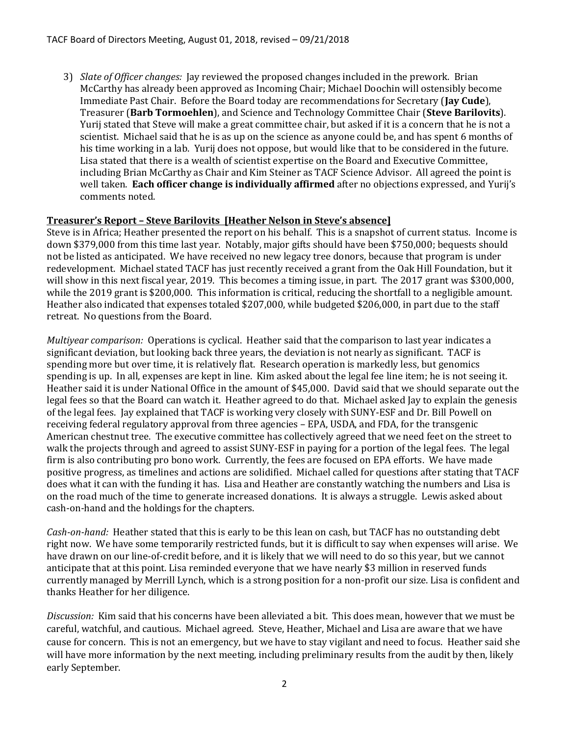3) *Slate of Officer changes:* Jay reviewed the proposed changes included in the prework. Brian McCarthy has already been approved as Incoming Chair; Michael Doochin will ostensibly become Immediate Past Chair. Before the Board today are recommendations for Secretary (**Jay Cude**), Treasurer (**Barb Tormoehlen**), and Science and Technology Committee Chair (**Steve Barilovits**). Yurij stated that Steve will make a great committee chair, but asked if it is a concern that he is not a scientist. Michael said that he is as up on the science as anyone could be, and has spent 6 months of his time working in a lab. Yurij does not oppose, but would like that to be considered in the future. Lisa stated that there is a wealth of scientist expertise on the Board and Executive Committee, including Brian McCarthy as Chair and Kim Steiner as TACF Science Advisor. All agreed the point is well taken. **Each officer change is individually affirmed** after no objections expressed, and Yurij's comments noted.

# **Treasurer's Report – Steve Barilovits [Heather Nelson in Steve's absence]**

Steve is in Africa; Heather presented the report on his behalf. This is a snapshot of current status. Income is down \$379,000 from this time last year. Notably, major gifts should have been \$750,000; bequests should not be listed as anticipated. We have received no new legacy tree donors, because that program is under redevelopment. Michael stated TACF has just recently received a grant from the Oak Hill Foundation, but it will show in this next fiscal year, 2019. This becomes a timing issue, in part. The 2017 grant was \$300,000, while the 2019 grant is \$200,000. This information is critical, reducing the shortfall to a negligible amount. Heather also indicated that expenses totaled \$207,000, while budgeted \$206,000, in part due to the staff retreat. No questions from the Board.

*Multiyear comparison:* Operations is cyclical. Heather said that the comparison to last year indicates a significant deviation, but looking back three years, the deviation is not nearly as significant. TACF is spending more but over time, it is relatively flat. Research operation is markedly less, but genomics spending is up. In all, expenses are kept in line. Kim asked about the legal fee line item; he is not seeing it. Heather said it is under National Office in the amount of \$45,000. David said that we should separate out the legal fees so that the Board can watch it. Heather agreed to do that. Michael asked Jay to explain the genesis of the legal fees. Jay explained that TACF is working very closely with SUNY-ESF and Dr. Bill Powell on receiving federal regulatory approval from three agencies – EPA, USDA, and FDA, for the transgenic American chestnut tree. The executive committee has collectively agreed that we need feet on the street to walk the projects through and agreed to assist SUNY-ESF in paying for a portion of the legal fees. The legal firm is also contributing pro bono work. Currently, the fees are focused on EPA efforts. We have made positive progress, as timelines and actions are solidified. Michael called for questions after stating that TACF does what it can with the funding it has. Lisa and Heather are constantly watching the numbers and Lisa is on the road much of the time to generate increased donations. It is always a struggle. Lewis asked about cash-on-hand and the holdings for the chapters.

*Cash-on-hand:* Heather stated that this is early to be this lean on cash, but TACF has no outstanding debt right now. We have some temporarily restricted funds, but it is difficult to say when expenses will arise. We have drawn on our line-of-credit before, and it is likely that we will need to do so this year, but we cannot anticipate that at this point. Lisa reminded everyone that we have nearly \$3 million in reserved funds currently managed by Merrill Lynch, which is a strong position for a non-profit our size. Lisa is confident and thanks Heather for her diligence.

*Discussion:* Kim said that his concerns have been alleviated a bit. This does mean, however that we must be careful, watchful, and cautious. Michael agreed. Steve, Heather, Michael and Lisa are aware that we have cause for concern. This is not an emergency, but we have to stay vigilant and need to focus. Heather said she will have more information by the next meeting, including preliminary results from the audit by then, likely early September.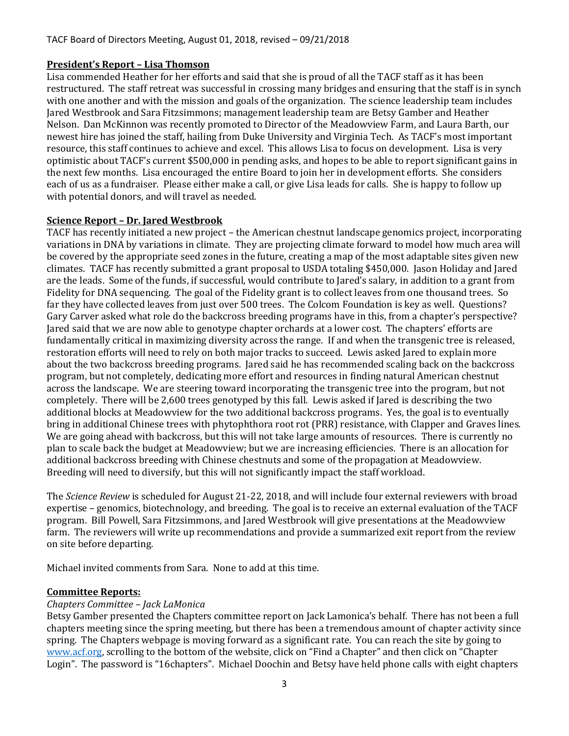## **President's Report – Lisa Thomson**

Lisa commended Heather for her efforts and said that she is proud of all the TACF staff as it has been restructured. The staff retreat was successful in crossing many bridges and ensuring that the staff is in synch with one another and with the mission and goals of the organization. The science leadership team includes Jared Westbrook and Sara Fitzsimmons; management leadership team are Betsy Gamber and Heather Nelson. Dan McKinnon was recently promoted to Director of the Meadowview Farm, and Laura Barth, our newest hire has joined the staff, hailing from Duke University and Virginia Tech. As TACF's most important resource, this staff continues to achieve and excel. This allows Lisa to focus on development. Lisa is very optimistic about TACF's current \$500,000 in pending asks, and hopes to be able to report significant gains in the next few months. Lisa encouraged the entire Board to join her in development efforts. She considers each of us as a fundraiser. Please either make a call, or give Lisa leads for calls. She is happy to follow up with potential donors, and will travel as needed.

### **Science Report – Dr. Jared Westbrook**

TACF has recently initiated a new project – the American chestnut landscape genomics project, incorporating variations in DNA by variations in climate. They are projecting climate forward to model how much area will be covered by the appropriate seed zones in the future, creating a map of the most adaptable sites given new climates. TACF has recently submitted a grant proposal to USDA totaling \$450,000. Jason Holiday and Jared are the leads. Some of the funds, if successful, would contribute to Jared's salary, in addition to a grant from Fidelity for DNA sequencing. The goal of the Fidelity grant is to collect leaves from one thousand trees. So far they have collected leaves from just over 500 trees. The Colcom Foundation is key as well. Questions? Gary Carver asked what role do the backcross breeding programs have in this, from a chapter's perspective? Jared said that we are now able to genotype chapter orchards at a lower cost. The chapters' efforts are fundamentally critical in maximizing diversity across the range. If and when the transgenic tree is released, restoration efforts will need to rely on both major tracks to succeed. Lewis asked Jared to explain more about the two backcross breeding programs. Jared said he has recommended scaling back on the backcross program, but not completely, dedicating more effort and resources in finding natural American chestnut across the landscape. We are steering toward incorporating the transgenic tree into the program, but not completely. There will be 2,600 trees genotyped by this fall. Lewis asked if Jared is describing the two additional blocks at Meadowview for the two additional backcross programs. Yes, the goal is to eventually bring in additional Chinese trees with phytophthora root rot (PRR) resistance, with Clapper and Graves lines. We are going ahead with backcross, but this will not take large amounts of resources. There is currently no plan to scale back the budget at Meadowview; but we are increasing efficiencies. There is an allocation for additional backcross breeding with Chinese chestnuts and some of the propagation at Meadowview. Breeding will need to diversify, but this will not significantly impact the staff workload.

The *Science Review* is scheduled for August 21-22, 2018, and will include four external reviewers with broad expertise – genomics, biotechnology, and breeding. The goal is to receive an external evaluation of the TACF program. Bill Powell, Sara Fitzsimmons, and Jared Westbrook will give presentations at the Meadowview farm. The reviewers will write up recommendations and provide a summarized exit report from the review on site before departing.

Michael invited comments from Sara. None to add at this time.

## **Committee Reports:**

## *Chapters Committee – Jack LaMonica*

Betsy Gamber presented the Chapters committee report on Jack Lamonica's behalf. There has not been a full chapters meeting since the spring meeting, but there has been a tremendous amount of chapter activity since spring. The Chapters webpage is moving forward as a significant rate. You can reach the site by going to [www.acf.org](http://www.acf.org/), scrolling to the bottom of the website, click on "Find a Chapter" and then click on "Chapter Login". The password is "16chapters". Michael Doochin and Betsy have held phone calls with eight chapters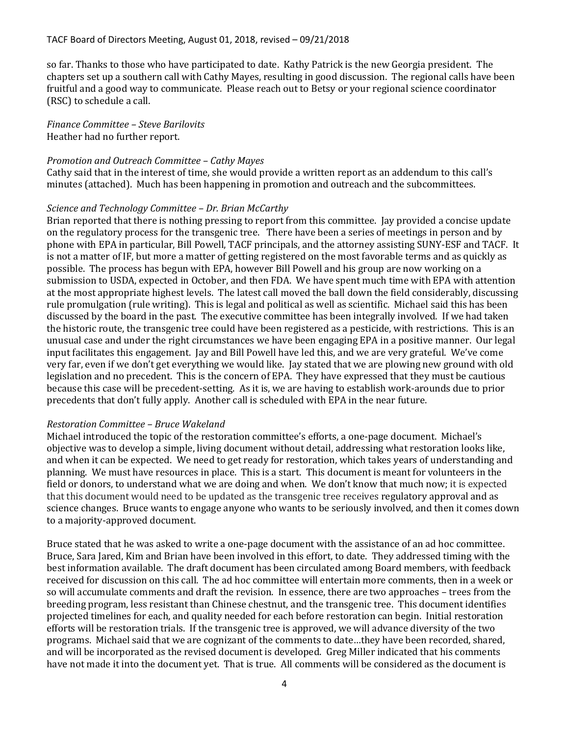so far. Thanks to those who have participated to date. Kathy Patrick is the new Georgia president. The chapters set up a southern call with Cathy Mayes, resulting in good discussion. The regional calls have been fruitful and a good way to communicate. Please reach out to Betsy or your regional science coordinator (RSC) to schedule a call.

#### *Finance Committee – Steve Barilovits* Heather had no further report.

#### *Promotion and Outreach Committee – Cathy Mayes*

Cathy said that in the interest of time, she would provide a written report as an addendum to this call's minutes (attached). Much has been happening in promotion and outreach and the subcommittees.

#### *Science and Technology Committee – Dr. Brian McCarthy*

Brian reported that there is nothing pressing to report from this committee. Jay provided a concise update on the regulatory process for the transgenic tree. There have been a series of meetings in person and by phone with EPA in particular, Bill Powell, TACF principals, and the attorney assisting SUNY-ESF and TACF. It is not a matter of IF, but more a matter of getting registered on the most favorable terms and as quickly as possible. The process has begun with EPA, however Bill Powell and his group are now working on a submission to USDA, expected in October, and then FDA. We have spent much time with EPA with attention at the most appropriate highest levels. The latest call moved the ball down the field considerably, discussing rule promulgation (rule writing). This is legal and political as well as scientific. Michael said this has been discussed by the board in the past. The executive committee has been integrally involved. If we had taken the historic route, the transgenic tree could have been registered as a pesticide, with restrictions. This is an unusual case and under the right circumstances we have been engaging EPA in a positive manner. Our legal input facilitates this engagement. Jay and Bill Powell have led this, and we are very grateful. We've come very far, even if we don't get everything we would like. Jay stated that we are plowing new ground with old legislation and no precedent. This is the concern of EPA. They have expressed that they must be cautious because this case will be precedent-setting. As it is, we are having to establish work-arounds due to prior precedents that don't fully apply. Another call is scheduled with EPA in the near future.

#### *Restoration Committee – Bruce Wakeland*

Michael introduced the topic of the restoration committee's efforts, a one-page document. Michael's objective was to develop a simple, living document without detail, addressing what restoration looks like, and when it can be expected. We need to get ready for restoration, which takes years of understanding and planning. We must have resources in place. This is a start. This document is meant for volunteers in the field or donors, to understand what we are doing and when. We don't know that much now; it is expected that this document would need to be updated as the transgenic tree receives regulatory approval and as science changes. Bruce wants to engage anyone who wants to be seriously involved, and then it comes down to a majority-approved document.

Bruce stated that he was asked to write a one-page document with the assistance of an ad hoc committee. Bruce, Sara Jared, Kim and Brian have been involved in this effort, to date. They addressed timing with the best information available. The draft document has been circulated among Board members, with feedback received for discussion on this call. The ad hoc committee will entertain more comments, then in a week or so will accumulate comments and draft the revision. In essence, there are two approaches – trees from the breeding program, less resistant than Chinese chestnut, and the transgenic tree. This document identifies projected timelines for each, and quality needed for each before restoration can begin. Initial restoration efforts will be restoration trials. If the transgenic tree is approved, we will advance diversity of the two programs. Michael said that we are cognizant of the comments to date…they have been recorded, shared, and will be incorporated as the revised document is developed. Greg Miller indicated that his comments have not made it into the document yet. That is true. All comments will be considered as the document is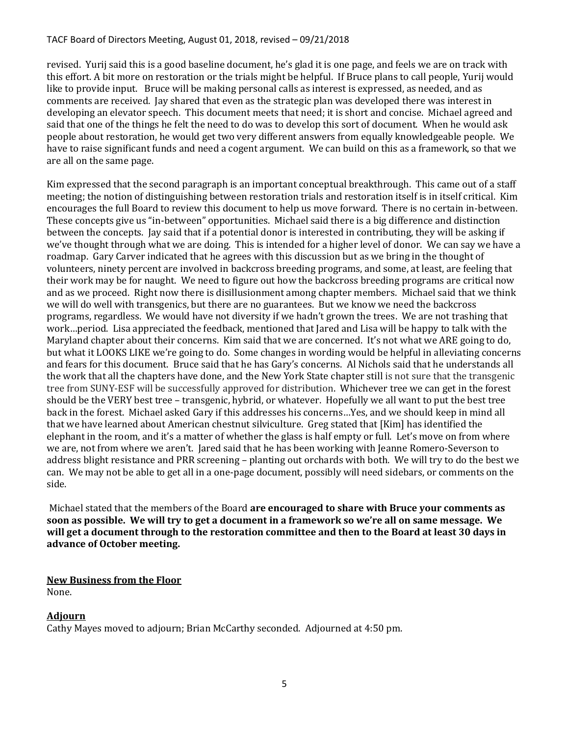revised. Yurij said this is a good baseline document, he's glad it is one page, and feels we are on track with this effort. A bit more on restoration or the trials might be helpful. If Bruce plans to call people, Yurij would like to provide input. Bruce will be making personal calls as interest is expressed, as needed, and as comments are received. Jay shared that even as the strategic plan was developed there was interest in developing an elevator speech. This document meets that need; it is short and concise. Michael agreed and said that one of the things he felt the need to do was to develop this sort of document. When he would ask people about restoration, he would get two very different answers from equally knowledgeable people. We have to raise significant funds and need a cogent argument. We can build on this as a framework, so that we are all on the same page.

Kim expressed that the second paragraph is an important conceptual breakthrough. This came out of a staff meeting; the notion of distinguishing between restoration trials and restoration itself is in itself critical. Kim encourages the full Board to review this document to help us move forward. There is no certain in-between. These concepts give us "in-between" opportunities. Michael said there is a big difference and distinction between the concepts. Jay said that if a potential donor is interested in contributing, they will be asking if we've thought through what we are doing. This is intended for a higher level of donor. We can say we have a roadmap. Gary Carver indicated that he agrees with this discussion but as we bring in the thought of volunteers, ninety percent are involved in backcross breeding programs, and some, at least, are feeling that their work may be for naught. We need to figure out how the backcross breeding programs are critical now and as we proceed. Right now there is disillusionment among chapter members. Michael said that we think we will do well with transgenics, but there are no guarantees. But we know we need the backcross programs, regardless. We would have not diversity if we hadn't grown the trees. We are not trashing that work…period. Lisa appreciated the feedback, mentioned that Jared and Lisa will be happy to talk with the Maryland chapter about their concerns. Kim said that we are concerned. It's not what we ARE going to do, but what it LOOKS LIKE we're going to do. Some changes in wording would be helpful in alleviating concerns and fears for this document. Bruce said that he has Gary's concerns. Al Nichols said that he understands all the work that all the chapters have done, and the New York State chapter still is not sure that the transgenic tree from SUNY-ESF will be successfully approved for distribution. Whichever tree we can get in the forest should be the VERY best tree – transgenic, hybrid, or whatever. Hopefully we all want to put the best tree back in the forest. Michael asked Gary if this addresses his concerns…Yes, and we should keep in mind all that we have learned about American chestnut silviculture. Greg stated that [Kim] has identified the elephant in the room, and it's a matter of whether the glass is half empty or full. Let's move on from where we are, not from where we aren't. Jared said that he has been working with Jeanne Romero-Severson to address blight resistance and PRR screening – planting out orchards with both. We will try to do the best we can. We may not be able to get all in a one-page document, possibly will need sidebars, or comments on the side.

Michael stated that the members of the Board **are encouraged to share with Bruce your comments as soon as possible. We will try to get a document in a framework so we're all on same message. We will get a document through to the restoration committee and then to the Board at least 30 days in advance of October meeting.**

# **New Business from the Floor**

None.

# **Adjourn**

Cathy Mayes moved to adjourn; Brian McCarthy seconded. Adjourned at 4:50 pm.